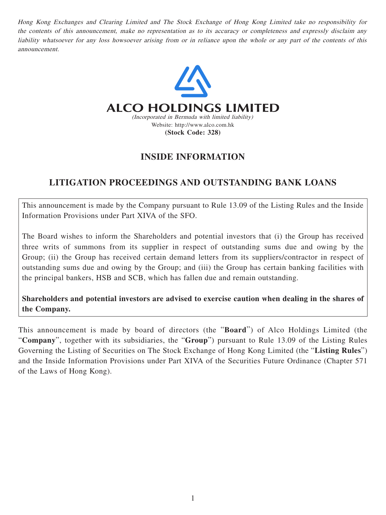Hong Kong Exchanges and Clearing Limited and The Stock Exchange of Hong Kong Limited take no responsibility for the contents of this announcement, make no representation as to its accuracy or completeness and expressly disclaim any liability whatsoever for any loss howsoever arising from or in reliance upon the whole or any part of the contents of this announcement.



# **INSIDE INFORMATION**

## **LITIGATION PROCEEDINGS AND OUTSTANDING BANK LOANS**

This announcement is made by the Company pursuant to Rule 13.09 of the Listing Rules and the Inside Information Provisions under Part XIVA of the SFO.

The Board wishes to inform the Shareholders and potential investors that (i) the Group has received three writs of summons from its supplier in respect of outstanding sums due and owing by the Group; (ii) the Group has received certain demand letters from its suppliers/contractor in respect of outstanding sums due and owing by the Group; and (iii) the Group has certain banking facilities with the principal bankers, HSB and SCB, which has fallen due and remain outstanding.

**Shareholders and potential investors are advised to exercise caution when dealing in the shares of the Company.**

This announcement is made by board of directors (the "**Board**") of Alco Holdings Limited (the "**Company**", together with its subsidiaries, the "**Group**") pursuant to Rule 13.09 of the Listing Rules Governing the Listing of Securities on The Stock Exchange of Hong Kong Limited (the "**Listing Rules**") and the Inside Information Provisions under Part XIVA of the Securities Future Ordinance (Chapter 571 of the Laws of Hong Kong).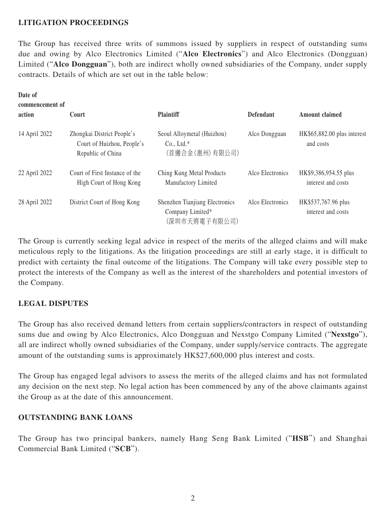#### **LITIGATION PROCEEDINGS**

The Group has received three writs of summons issued by suppliers in respect of outstanding sums due and owing by Alco Electronics Limited ("**Alco Electronics**") and Alco Electronics (Dongguan) Limited ("**Alco Dongguan**"), both are indirect wholly owned subsidiaries of the Company, under supply contracts. Details of which are set out in the table below:

| Date of<br>commencement of |                                                                               |                                                                     |                  |                                             |
|----------------------------|-------------------------------------------------------------------------------|---------------------------------------------------------------------|------------------|---------------------------------------------|
| action                     | Court                                                                         | <b>Plaintiff</b>                                                    | <b>Defendant</b> | Amount claimed                              |
| 14 April 2022              | Zhongkai District People's<br>Court of Huizhou, People's<br>Republic of China | Seoul Alloymetal (Huizhou)<br>$Co., Ltd.*$<br>(首邇合金(惠州)有限公司)        | Alco Dongguan    | HK\$65,882.00 plus interest<br>and costs    |
| 22 April 2022              | Court of First Instance of the<br>High Court of Hong Kong                     | Ching Kung Metal Products<br>Manufactory Limited                    | Alco Electronics | HK\$9,386,954.55 plus<br>interest and costs |
| 28 April 2022              | District Court of Hong Kong                                                   | Shenzhen Tianjiang Electronics<br>Company Limited*<br>(深圳市天將電子有限公司) | Alco Electronics | HK\$537,767.96 plus<br>interest and costs   |

The Group is currently seeking legal advice in respect of the merits of the alleged claims and will make meticulous reply to the litigations. As the litigation proceedings are still at early stage, it is difficult to predict with certainty the final outcome of the litigations. The Company will take every possible step to protect the interests of the Company as well as the interest of the shareholders and potential investors of the Company.

## **LEGAL DISPUTES**

The Group has also received demand letters from certain suppliers/contractors in respect of outstanding sums due and owing by Alco Electronics, Alco Dongguan and Nexstgo Company Limited ("**Nexstgo**"), all are indirect wholly owned subsidiaries of the Company, under supply/service contracts. The aggregate amount of the outstanding sums is approximately HK\$27,600,000 plus interest and costs.

The Group has engaged legal advisors to assess the merits of the alleged claims and has not formulated any decision on the next step. No legal action has been commenced by any of the above claimants against the Group as at the date of this announcement.

## **OUTSTANDING BANK LOANS**

The Group has two principal bankers, namely Hang Seng Bank Limited ("**HSB**") and Shanghai Commercial Bank Limited ("**SCB**").